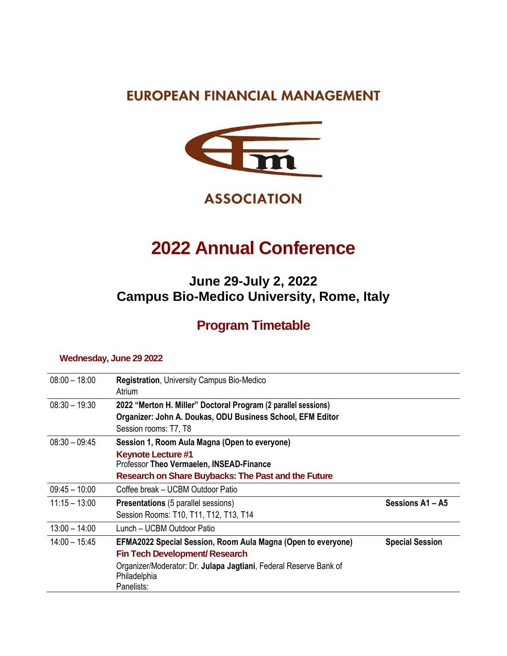### **EUROPEAN FINANCIAL MANAGEMENT**



**ASSOCIATION** 

# **2022 Annual Conference**

### **June 29-July 2, 2022 Campus Bio-Medico University, Rome, Italy**

## **Program Timetable**

#### **Wednesday, June 29 2022**

| $08:00 - 18:00$ | <b>Registration, University Campus Bio-Medico</b><br>Atrium                                     |                        |
|-----------------|-------------------------------------------------------------------------------------------------|------------------------|
| $08:30 - 19:30$ | 2022 "Merton H. Miller" Doctoral Program (2 parallel sessions)                                  |                        |
|                 | Organizer: John A. Doukas, ODU Business School, EFM Editor                                      |                        |
|                 | Session rooms: T7, T8                                                                           |                        |
| $08:30 - 09:45$ | Session 1, Room Aula Magna (Open to everyone)                                                   |                        |
|                 | <b>Keynote Lecture #1</b><br>Professor Theo Vermaelen, INSEAD-Finance                           |                        |
|                 | <b>Research on Share Buybacks: The Past and the Future</b>                                      |                        |
| $09:45 - 10:00$ | Coffee break – UCBM Outdoor Patio                                                               |                        |
| $11:15 - 13:00$ | <b>Presentations</b> (5 parallel sessions)                                                      | Sessions A1 - A5       |
|                 | Session Rooms: T10, T11, T12, T13, T14                                                          |                        |
| $13:00 - 14:00$ | Lunch - UCBM Outdoor Patio                                                                      |                        |
| $14:00 - 15:45$ | <b>EFMA2022 Special Session, Room Aula Magna (Open to everyone)</b>                             | <b>Special Session</b> |
|                 | <b>Fin Tech Development/ Research</b>                                                           |                        |
|                 | Organizer/Moderator: Dr. Julapa Jagtiani, Federal Reserve Bank of<br>Philadelphia<br>Panelists: |                        |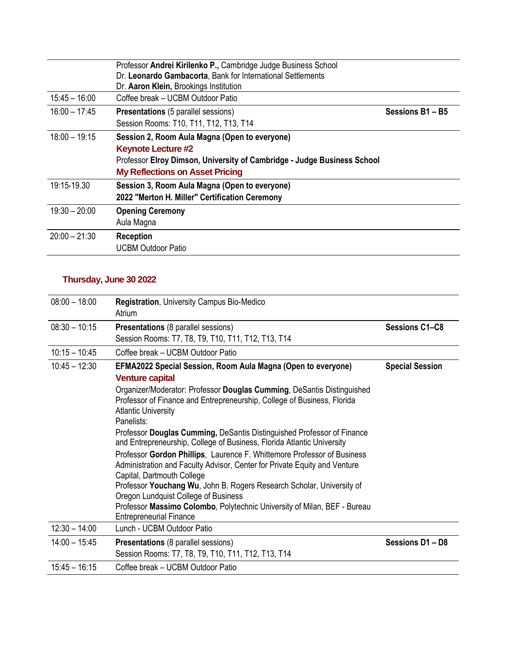|                 | Professor Andrei Kirilenko P., Cambridge Judge Business School<br>Dr. Leonardo Gambacorta, Bank for International Settlements<br>Dr. Aaron Klein, Brookings Institution                         |                |
|-----------------|-------------------------------------------------------------------------------------------------------------------------------------------------------------------------------------------------|----------------|
| $15:45 - 16:00$ | Coffee break – UCBM Outdoor Patio                                                                                                                                                               |                |
| $16:00 - 17:45$ | <b>Presentations</b> (5 parallel sessions)<br>Session Rooms: T10, T11, T12, T13, T14                                                                                                            | Sessions B1-B5 |
| $18:00 - 19:15$ | Session 2, Room Aula Magna (Open to everyone)<br><b>Keynote Lecture #2</b><br>Professor Elroy Dimson, University of Cambridge - Judge Business School<br><b>My Reflections on Asset Pricing</b> |                |
| 19:15-19.30     | Session 3, Room Aula Magna (Open to everyone)<br>2022 "Merton H. Miller" Certification Ceremony                                                                                                 |                |
| $19:30 - 20:00$ | <b>Opening Ceremony</b><br>Aula Magna                                                                                                                                                           |                |
| $20:00 - 21:30$ | <b>Reception</b><br><b>UCBM Outdoor Patio</b>                                                                                                                                                   |                |

#### **Thursday, June 30 2022**

| $08:00 - 18:00$ | <b>Registration, University Campus Bio-Medico</b><br>Atrium                                                                                                                                   |                        |
|-----------------|-----------------------------------------------------------------------------------------------------------------------------------------------------------------------------------------------|------------------------|
| $08:30 - 10:15$ | <b>Presentations (8 parallel sessions)</b>                                                                                                                                                    | <b>Sessions C1–C8</b>  |
|                 | Session Rooms: T7, T8, T9, T10, T11, T12, T13, T14                                                                                                                                            |                        |
| $10:15 - 10:45$ | Coffee break - UCBM Outdoor Patio                                                                                                                                                             |                        |
| $10:45 - 12:30$ | EFMA2022 Special Session, Room Aula Magna (Open to everyone)<br><b>Venture capital</b>                                                                                                        | <b>Special Session</b> |
|                 | Organizer/Moderator: Professor Douglas Cumming, DeSantis Distinguished<br>Professor of Finance and Entrepreneurship, College of Business, Florida<br><b>Atlantic University</b><br>Panelists: |                        |
|                 | Professor Douglas Cumming, DeSantis Distinguished Professor of Finance<br>and Entrepreneurship, College of Business, Florida Atlantic University                                              |                        |
|                 | Professor Gordon Phillips, Laurence F. Whittemore Professor of Business<br>Administration and Faculty Advisor, Center for Private Equity and Venture<br>Capital, Dartmouth College            |                        |
|                 | Professor Youchang Wu, John B. Rogers Research Scholar, University of<br>Oregon Lundquist College of Business                                                                                 |                        |
|                 | Professor Massimo Colombo, Polytechnic University of Milan, BEF - Bureau<br><b>Entrepreneurial Finance</b>                                                                                    |                        |
| $12:30 - 14:00$ | Lunch - UCBM Outdoor Patio                                                                                                                                                                    |                        |
| $14:00 - 15:45$ | <b>Presentations (8 parallel sessions)</b><br>Session Rooms: T7, T8, T9, T10, T11, T12, T13, T14                                                                                              | Sessions D1-D8         |
| $15:45 - 16:15$ | Coffee break - UCBM Outdoor Patio                                                                                                                                                             |                        |